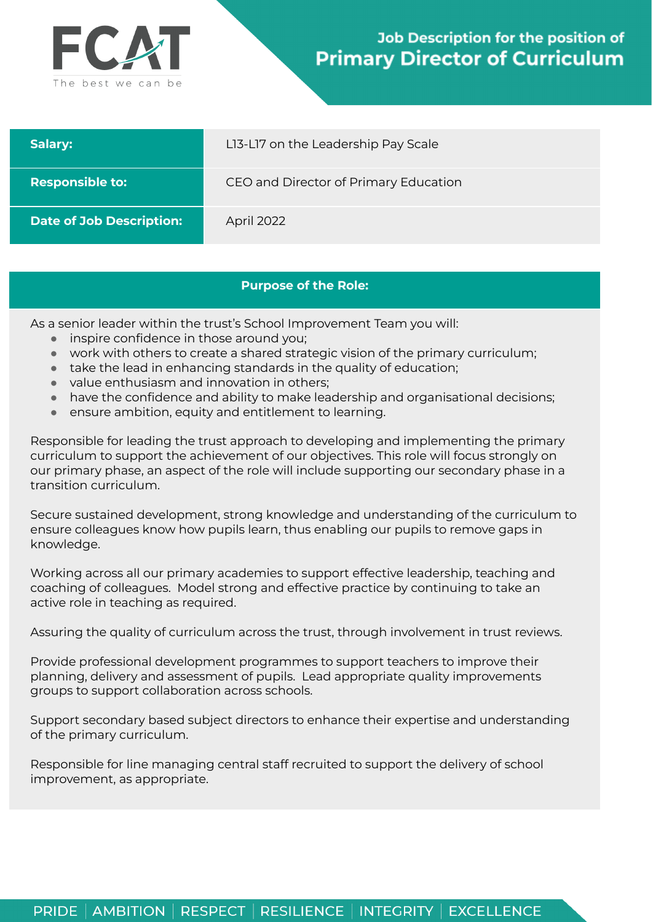

## **Job Description for the position of Primary Director of Curriculum**

| Salary:                         | LI3-LI7 on the Leadership Pay Scale   |
|---------------------------------|---------------------------------------|
| <b>Responsible to:</b>          | CEO and Director of Primary Education |
| <b>Date of Job Description:</b> | April 2022                            |

## **Purpose of the Role:**

As a senior leader within the trust's School Improvement Team you will:

- *●* inspire confidence in those around you;
- *●* work with others to create a shared strategic vision of the primary curriculum;
- *●* take the lead in enhancing standards in the quality of education;
- *●* value enthusiasm and innovation in others;
- *●* have the confidence and ability to make leadership and organisational decisions;
- *●* ensure ambition, equity and entitlement to learning.

Responsible for leading the trust approach to developing and implementing the primary curriculum to support the achievement of our objectives. This role will focus strongly on our primary phase, an aspect of the role will include supporting our secondary phase in a transition curriculum.

Secure sustained development, strong knowledge and understanding of the curriculum to ensure colleagues know how pupils learn, thus enabling our pupils to remove gaps in knowledge.

Working across all our primary academies to support effective leadership, teaching and coaching of colleagues. Model strong and effective practice by continuing to take an active role in teaching as required.

Assuring the quality of curriculum across the trust, through involvement in trust reviews.

Provide professional development programmes to support teachers to improve their planning, delivery and assessment of pupils. Lead appropriate quality improvements groups to support collaboration across schools.

Support secondary based subject directors to enhance their expertise and understanding of the primary curriculum.

Responsible for line managing central staff recruited to support the delivery of school improvement, as appropriate.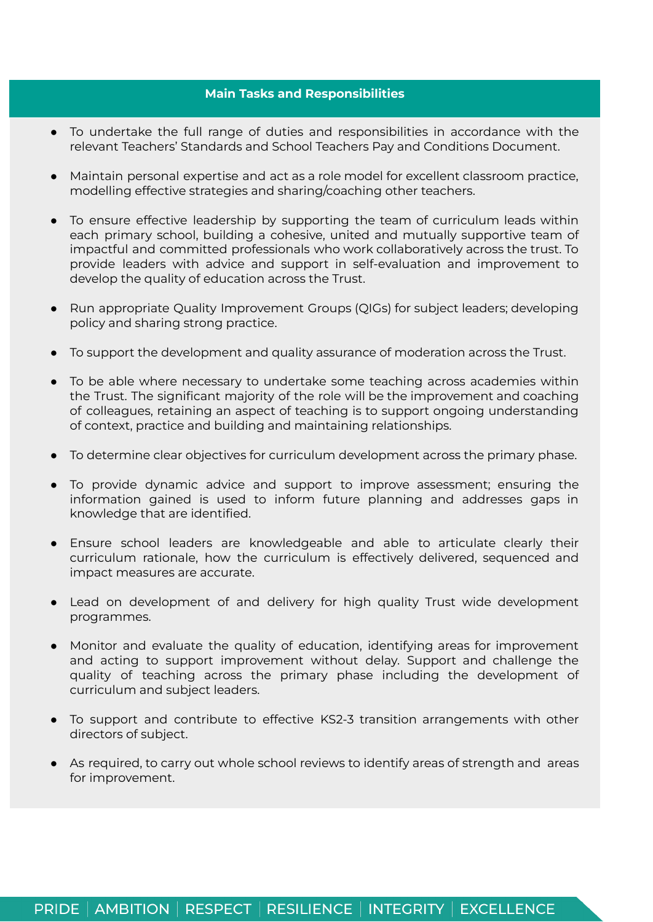## **Main Tasks and Responsibilities**

- To undertake the full range of duties and responsibilities in accordance with the relevant Teachers' Standards and School Teachers Pay and Conditions Document.
- Maintain personal expertise and act as a role model for excellent classroom practice, modelling effective strategies and sharing/coaching other teachers.
- To ensure effective leadership by supporting the team of curriculum leads within each primary school, building a cohesive, united and mutually supportive team of impactful and committed professionals who work collaboratively across the trust. To provide leaders with advice and support in self-evaluation and improvement to develop the quality of education across the Trust.
- Run appropriate Quality Improvement Groups (QIGs) for subject leaders; developing policy and sharing strong practice.
- To support the development and quality assurance of moderation across the Trust.
- To be able where necessary to undertake some teaching across academies within the Trust. The significant majority of the role will be the improvement and coaching of colleagues, retaining an aspect of teaching is to support ongoing understanding of context, practice and building and maintaining relationships.
- To determine clear objectives for curriculum development across the primary phase.
- To provide dynamic advice and support to improve assessment; ensuring the information gained is used to inform future planning and addresses gaps in knowledge that are identified.
- Ensure school leaders are knowledgeable and able to articulate clearly their curriculum rationale, how the curriculum is effectively delivered, sequenced and impact measures are accurate.
- Lead on development of and delivery for high quality Trust wide development programmes.
- Monitor and evaluate the quality of education, identifying areas for improvement and acting to support improvement without delay. Support and challenge the quality of teaching across the primary phase including the development of curriculum and subject leaders.
- To support and contribute to effective KS2-3 transition arrangements with other directors of subject.
- As required, to carry out whole school reviews to identify areas of strength and areas for improvement.